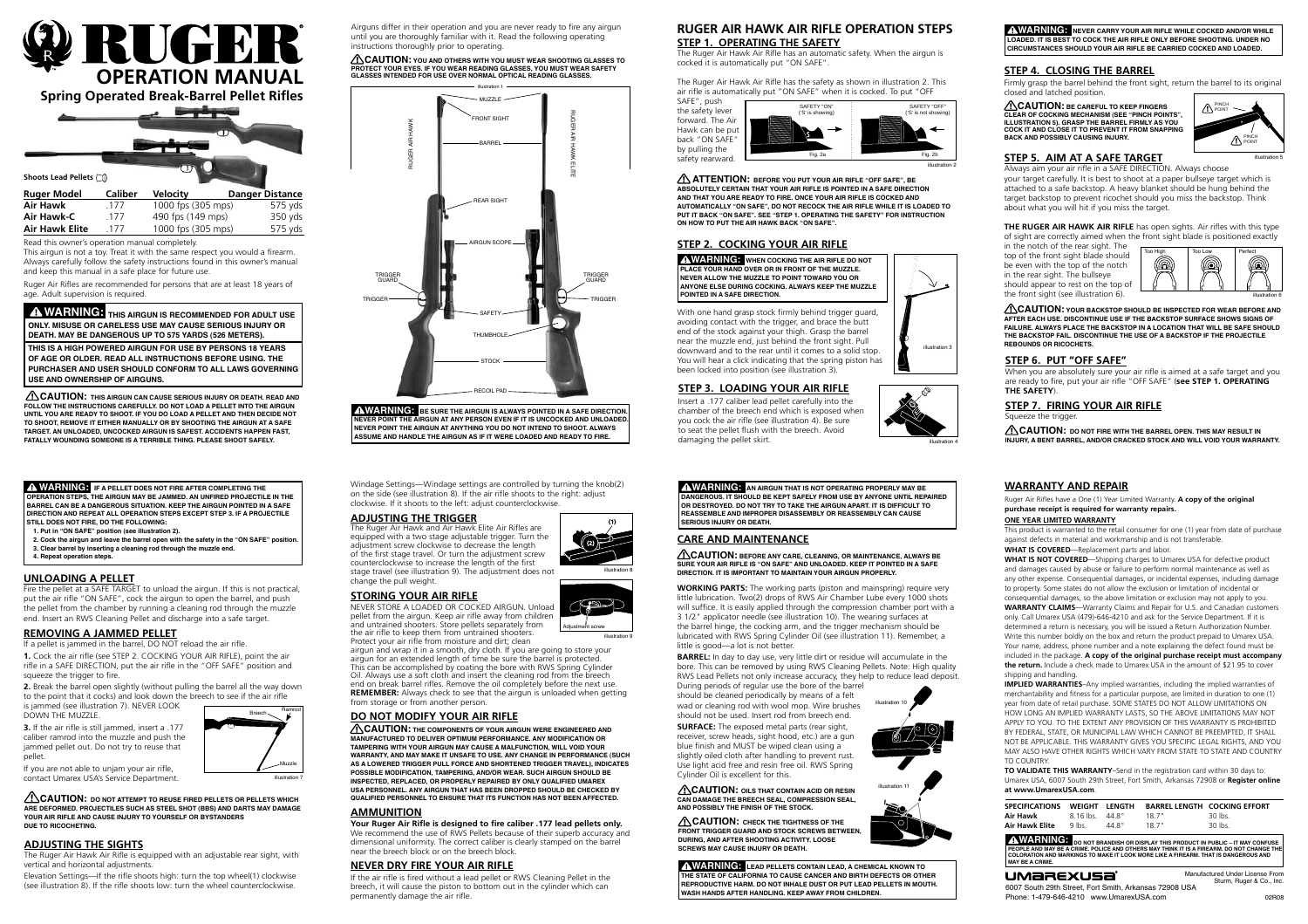

**Spring Operated Break-Barrel Pellet Rifles**

 **WARNING: THIS AIRGUN IS RECOMMENDED FOR ADULT USE ONLY. Misuse or careless use may cause serious injury or death. May be dangerous up to 575 yards (526 meters).**

**This is a high powerED airgun for use by persons 18 years of age or older. Read all instructions before using. The purchaser and user should conform to all laws governing use and ownership of airguns.**

Ruger Air Rifles are recommended for persons that are at least 18 years of age. Adult supervision is required.

| <b>Ruger Model</b>    | <b>Caliber</b> | <b>Velocity</b>    | <b>Danger Distance</b> |
|-----------------------|----------------|--------------------|------------------------|
| Air Hawk              | 177            | 1000 fps (305 mps) | 575 yds                |
| Air Hawk-C            | -177           | 490 fps (149 mps)  | 350 yds                |
| <b>Air Hawk Elite</b> | 177            | 1000 fps (305 mps) | 575 yds                |

Read this owner's operation manual completely.

This airgun is not a toy. Treat it with the same respect you would a firearm. Always carefully follow the safety instructions found in this owner's manual and keep this manual in a safe place for future use.

## **Ruger AIR HAWK AIR RIFLE OPERATION Steps Step 1. OPERATIng the Safety**

The Ruger Air Hawk Air Rifle has an automatic safety. When the airgun is cocked it is automatically put "ON SAFE".

The Ruger Air Hawk Air Rifle has the safety as shown in illustration 2. This air rifle is automatically put "ON SAFE" when it is cocked. To put "OFF



## **Step 2. Cocking your air rifle**

**THE RUGER AIR HAWK AIR RIFLE** has open sights. Air rifles with this type of sight are correctly aimed when the front sight blade is positioned exactly

With one hand grasp stock firmly behind trigger guard, avoiding contact with the trigger, and brace the butt end of the stock against your thigh. Grasp the barrel near the muzzle end, just behind the front sight. Pull downward and to the rear until it comes to a solid stop. You will hear a click indicating that the spring piston has been locked into position (see illustration 3).

 **WARNING: When cocking the air rifle do not place your hand over or in front of the muzzle. never allow the muzzle to point toward you or anyone else during cocking. Always keep the muzzle pointed in a safe direction.**



illustration

**1.** Cock the air rifle (see STEP 2. COCKING YOUR AIR RIFLE), point the air rifle in a SAFE DIRECTION, put the air rifle in the "OFF SAFE" position and squeeze the trigger to fire.

 **ATTENTION: Before you put your air rifle "OFF SAFE", be absolutely certain that your air rifle is pointed in a SAFE DIRECTION and that you are ready to fire. Once your air rifle is cocked and automatically "on safe", do not recock the air rifle While it is loaded to put it back "on safe". see "step 1. operating the safety" for instruction on how to put the AIR HAWK back "on safe".**

#### **Step 4. Closing the barreL**

Firmly grasp the barrel behind the front sight, return the barrel to its original closed and latched position.

 **CAUTION: Be careful to keep fingers clear of cocking mechanism (see "Pinch Points", illustration 5). Grasp the barrel firmly as you cock it and close it to prevent it from snapping back and possibly causing injury.**

# **Step 5. Aim at a safe target**

Always aim your air rifle in a SAFE DIRECTION. Always choose your target carefully. It is best to shoot at a paper bullseye target which is attached to a safe backstop. A heavy blanket should be hung behind the target backstop to prevent ricochet should you miss the backstop. Think about what you will hit if you miss the target.

in the notch of the rear sight. The top of the front sight blade should be even with the top of the notch in the rear sight. The bullseye should appear to rest on the top of the front sight (see illustration 6).

illustration 5

 **CAUTION: Your backstop should be inspected for wear before and after each use. Discontinue use if the backstop surface shows signs of failure. Always place the backstop in a location that will be safe should the backstop fail. Discontinue the use of a backstop if the projectile rebounds or ricochets.**

 **WARNING: NEVER CARRY YOUR AIR RIFLE WHILE COCKED AND/OR WHILE LOADED. IT IS BEST TO COCK THE AIR RIFLE ONLY BEFORE SHOOTING. UNDER NO CIRCUMSTANCES SHOULD YOUR AIR RIFLE BE CARRIED COCKED AND LOADED.**

# **Unloading a pellet**

Fire the pellet at a SAFE TARGET to unload the airgun. If this is not practical, put the air rifle "ON SAFE", cock the airgun to open the barrel, and push the pellet from the chamber by running a cleaning rod through the muzzle end. Insert an RWS Cleaning Pellet and discharge into a safe target.

# **REMOVING A JAMMED PELLET**

If a pellet is jammed in the barrel, DO NOT reload the air rifle.

**2.** Break the barrel open slightly (without pulling the barrel all the way down to the point that it cocks) and look down the breech to see if the air rifle is jammed (see illustration 7). NEVER LOOK

DOWN THE MUZZLE.

**3.** If the air rifle is still jammed, insert a .177 caliber ramrod into the muzzle and push the jammed pellet out. Do not try to reuse that pellet.

If you are not able to unjam your air rifle, contact Umarex USA's Service Department.

 **WARNING: If a pellet does not fire after completing the operation steps, the airgun may be jammed. An unfired projectile in the barrel can be a dangerous situation. Keep the airgun pointed in a safe direction and repeat all operation steps except Step 3. If a projectile still does not fire, do the following:**

**1. Put in "ON SAFE" position (see illustration 2).**

**2. Cock the airgun and leave the barrel open with the safety in the "ON SAFE" position. 3. Clear barrel by inserting a cleaning rod through the muzzle end.**

**4. Repeat operation steps.**

 **CAUTION: Do not attempt to reuse fired pellets or pellets which are deformed. Projectiles such as steel shot (BBs) and darts may damage your air rifle and cause injury to yourself or bystanders due to ricocheting.**





Adjustment screw

Windage Settings—Windage settings are controlled by turning the knob(2) on the side (see illustration 8). If the air rifle shoots to the right: adjust clockwise. If it shoots to the left: adjust counterclockwise.

### **adjusting the TRIGGER**

The Ruger Air Hawk and Air Hawk Elite Air Rifles are equipped with a two stage adjustable trigger. Turn the adjustment screw clockwise to decrease the length of the first stage travel. Or turn the adjustment screw counterclockwise to increase the length of the first stage travel (see illustration 9). The adjustment does not change the pull weight.

#### **Storing your air rifle**

NEVER STORE A LOADED OR COCKED AIRGUN. Unload pellet from the airgun. Keep air rifle away from children and untrained shooters. Store pellets separately from the air rifle to keep them from untrained shooters. Protect your air rifle from moisture and dirt; clean

> A WARNING: DO NOT BRANDISH OR DISPLAY THIS PRODUCT IN PUBLIC – IT MAY CONFUS<br>PEOPLE AND MAY BE A CRIME. POLICE AND OTHERS MAY THINK IT IS A FIREARM. DO NOT CHANGE T **coloration and markings to make it look more like a firearm. that is dangerous and may be a crime.**

| <b>UMAREXUSA</b> |
|------------------|
|------------------|

airgun and wrap it in a smooth, dry cloth. If you are going to store your airgun for an extended length of time be sure the barrel is protected. This can be accomplished by coating the bore with RWS Spring Cylinder Oil. Always use a soft cloth and insert the cleaning rod from the breech end on break barrel rifles. Remove the oil completely before the next use. **REMEMBER:** Always check to see that the airgun is unloaded when getting from storage or from another person.

When you are absolutely sure your air rifle is aimed at a safe target and you are ready to fire, put your air rifle "OFF SAFE" (**see Step 1. Operating the Safety**).

# **DO NOT MODIFY YOUR AIR RIFLE**

 **CAUTION: You and others with you must wear shooting glasses to** PROTECT YOUR EYES. IF YOU WEAR READING GLASSES, YOU MUST WEAR S<br>GLASSES INTENDED FOR USE OVER NORMAL OPTICAL READING GLASSES.

 **CAUTION: The components of your airgun were engineered and manufactured to deliver optimum performance. Any modification or tampering with your airgun may cause a malfunction, will void your warranty, and may make it unsafe to use. Any change in performance (such as a lowered trigger pull force and shortened trigger travel), indicates possible modification, tampering, and/or wear. Such airgun should be inspected, replaced, or properly repaired by only qualified Umarex USA personnel. Any airgun that has been dropped should be checked by qualified personnel to ensure that its function has not been affected.**

## **Ammunition**

**Your Ruger Air Rifle is designed to fire caliber .177 lead pellets only.** We recommend the use of RWS Pellets because of their superb accuracy and dimensional uniformity. The correct caliber is clearly stamped on the barrel near the breech block or on the breech block.

### **never dry fire YOUR AIR RIFLE**

If the air rifle is fired without a lead pellet or RWS Cleaning Pellet in the breech, it will cause the piston to bottom out in the cylinder which can permanently damage the air rifle.



 **WARNING: Be sure the airgun is always pointed in <sup>a</sup> safe direction. never point the airgun at any person even if it is uncocked and unloaded. Never point the airgun at anything you do not intend to shoot. always assume and handle the airgun as if it were loaded and ready to fire.**

# **adjusting the sights**

The Ruger Air Hawk Air Rifle is equipped with an adjustable rear sight, with vertical and horizontal adjustments.

Elevation Settings—If the rifle shoots high: turn the top wheel(1) clockwise (see illustration 8). If the rifle shoots low: turn the wheel counterclockwise.

# **care and maintenance**

 **CAUTION: Before any care, cleaning, or maintenance, always be sure your air rifle is "ON SAFE" and unloaded. Keep it pointed in a SAFE DIRECTION. It is important to maintain your airgun properly.**

**WORKING PARTS:** The working parts (piston and mainspring) require very little lubrication. Two(2) drops of RWS Air Chamber Lube every 1000 shots will suffice. It is easily applied through the compression chamber port with a 3 1/2" applicator needle (see illustration 10). The wearing surfaces at the barrel hinge, the cocking arm, and the trigger mechanism should be lubricated with RWS Spring Cylinder Oil (see illustration 11). Remember, a little is good—a lot is not better.

**BARREL:** In day to day use, very little dirt or residue will accumulate in the bore. This can be removed by using RWS Cleaning Pellets. Note: High quality RWS Lead Pellets not only increase accuracy, they help to reduce lead deposit.

During periods of regular use the bore of the barrel should be cleaned periodically by means of a felt wad or cleaning rod with wool mop. Wire brushes should not be used. Insert rod from breech end.

**SURFACE:** The exposed metal parts (rear sight, receiver, screw heads, sight hood, etc.) are a gun blue finish and MUST be wiped clean using a slightly oiled cloth after handling to prevent rust. Use light acid free and resin free oil. RWS Spring Cylinder Oil is excellent for this.

 **CAUTION: Oils that contain acid or resin can damage the breech seal, compression seal, and possibly the finish of the stock.**

 **WARNING: AN AIRGUN THAT IS NOT OPERATING PROPERLY MAY BE DANGEROUS. IT SHOULD BE KEPT SAFELY FROM USE BY ANYONE UNTIL REPAIRED OR DESTROYED. DO NOT TRY TO TAKE THE AIRGUN APART. IT IS DIFFICULT TO REASSEMBLE AND IMPROPER DISASSEMBLY OR REASSEMBLY CAN CAUSE SERIOUS INJURY OR DEATH.**

# **Warranty and Repair**

Ruger Air Rifles have a One (1) Year Limited Warranty. **A copy of the original purchase receipt is required for warranty repairs.**

#### **ONE YEAR LIMITED WARRANTY**

This product is warranted to the retail consumer for one (1) year from date of purchase against defects in material and workmanship and is not transferable.

**WHAT IS COVERED**—Replacement parts and labor.

**WHAT IS NOT COVERED**—Shipping charges to Umarex USA for defective product and damages caused by abuse or failure to perform normal maintenance as well as any other expense. Consequential damages, or incidental expenses, including damage to property. Some states do not allow the exclusion or limitation of incidental or consequential damages, so the above limitation or exclusion may not apply to you.

**WARRANTY CLAIMS**—Warranty Claims and Repair for U.S. and Canadian customers only. Call Umarex USA (479)-646-4210 and ask for the Service Department. If it is determined a return is necessary, you will be issued a Return Authorization Number. Write this number boldly on the box and return the product prepaid to Umarex USA. Your name, address, phone number and a note explaining the defect found must be included in the package. **A copy of the original purchase receipt must accompany the return.** Include a check made to Umarex USA in the amount of \$21.95 to cover shipping and handling.

**IMPLIED WARRANTIES**–Any implied warranties, including the implied warranties of merchantability and fitness for a particular purpose, are limited in duration to one (1) year from date of retail purchase. SOME STATES DO NOT ALLOW LIMITATIONS ON how long an implied warranty lasts, so the above limitations may not apply to you. To the extent any provision of this warranty is prohibited by federal, state, or municipal law which cannot be preempted, it shall not be applicable. This warranty gives you specific legal rights, and you may also have other rights which vary from state to state and country to country.

**To validate this warranty**–Send in the registration card within 30 days to: Umarex USA, 6007 South 29th Street, Fort Smith, Arkansas 72908 or **Register online at www.UmarexUSA.com**.

| <b>SPECIFICATIONS</b> | WEIGHT LENGTH |        |       | <b>BARREL LENGTH COCKING EFFORT</b> |
|-----------------------|---------------|--------|-------|-------------------------------------|
| Air Hawk              | 8.16 lbs.     | 44 8 " | 18.7" | 30 lbs.                             |
| <b>Air Hawk Elite</b> | $9$ lbs.      | 44.8"  | 18.7" | 30 lbs.                             |
|                       |               |        |       |                                     |

6007 South 29th Street, Fort Smith, Arkansas 72908 USA Phone: 1-479-646-4210 www.UmarexUSA.com

illustration 10



 **CAUTION: Check the tightness of the front trigger guard and stock screws between, during, and after shooting activity. Loose screws may cause injury or death.**



# **Step 3. loading your air rifle**

Insert a .177 caliber lead pellet carefully into the chamber of the breech end which is exposed when you cock the air rifle (see illustration 4). Be sure to seat the pellet flush with the breech. Avoid damaging the pellet skirt.

 **WARNING: lead pellets contain lead, a chemical known to the state of california to cause cancer and birth defects or other reproductive harm. do not inhale dust or put LEAD pellets in mouth. wash hands after handling. KEEP AWAY FROM CHILDREN.**

 **CAUTION: This airgun can cause serious injury or death. Read and follow the instructionS carefully. Do not load a pellet into the airgun until you are ready to shoot. If you do load a pellet and then decide not to shoot, remove it either manually or by shooting the airgun at a safe target. An unloaded, unCocked airgun is safest. Accidents happen fast, FATALLY WOUNDING someone is a terrible thing. Please shoot safely.**





PINCH POINT

PINCH POINT

#### **Step 6. Put "off Safe"**

### **Step 7. Firing your air rifle**

Squeeze the trigge

 **CAUTION: Do not fire with the barrel open. this may result in INJURY, a bent barrel, and/or cracked stock and will void your warranty.**

illustration 8

illustration 9

Airguns differ in their operation and you are never ready to fire any airgun until you are thoroughly familiar with it. Read the following operating instructions thoroughly prior to operating.